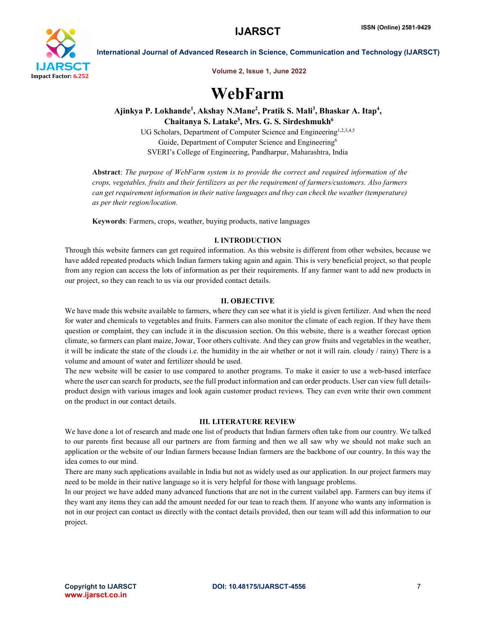

International Journal of Advanced Research in Science, Communication and Technology (IJARSCT)

Volume 2, Issue 1, June 2022

# WebFarm

Ajinkya P. Lokhande<sup>1</sup>, Akshay N.Mane<sup>2</sup>, Pratik S. Mali<sup>3</sup>, Bhaskar A. Itap<sup>4</sup>, Chaitanya S. Latake<sup>5</sup>, Mrs. G. S. Sirdeshmukh<sup>6</sup>

> UG Scholars, Department of Computer Science and Engineering<sup>1,2,3,4,5</sup> Guide, Department of Computer Science and Engineering<sup>6</sup> SVERI's College of Engineering, Pandharpur, Maharashtra, India

Abstract: *The purpose of WebFarm system is to provide the correct and required information of the crops, vegetables, fruits and their fertilizers as per the requirement of farmers/customers. Also farmers can get requirement information in their native languages and they can check the weather (temperature) as per their region/location.*

Keywords: Farmers, crops, weather, buying products, native languages

# I. INTRODUCTION

Through this website farmers can get required information. As this website is different from other websites, because we have added repeated products which Indian farmers taking again and again. This is very beneficial project, so that people from any region can access the lots of information as per their requirements. If any farmer want to add new products in our project, so they can reach to us via our provided contact details.

# II. OBJECTIVE

We have made this website available to farmers, where they can see what it is yield is given fertilizer. And when the need for water and chemicals to vegetables and fruits. Farmers can also monitor the climate of each region. If they have them question or complaint, they can include it in the discussion section. On this website, there is a weather forecast option climate, so farmers can plant maize, Jowar, Toor others cultivate. And they can grow fruits and vegetables in the weather, it will be indicate the state of the clouds i.e. the humidity in the air whether or not it will rain. cloudy / rainy) There is a volume and amount of water and fertilizer should be used.

The new website will be easier to use compared to another programs. To make it easier to use a web-based interface where the user can search for products, see the full product information and can order products. User can view full detailsproduct design with various images and look again customer product reviews. They can even write their own comment on the product in our contact details.

#### III. LITERATURE REVIEW

We have done a lot of research and made one list of products that Indian farmers often take from our country. We talked to our parents first because all our partners are from farming and then we all saw why we should not make such an application or the website of our Indian farmers because Indian farmers are the backbone of our country. In this way the idea comes to our mind.

There are many such applications available in India but not as widely used as our application. In our project farmers may need to be molde in their native language so it is very helpful for those with language problems.

In our project we have added many advanced functions that are not in the current vailabel app. Farmers can buy items if they want any items they can add the amount needed for our tean to reach them. If anyone who wants any information is not in our project can contact us directly with the contact details provided, then our team will add this information to our project.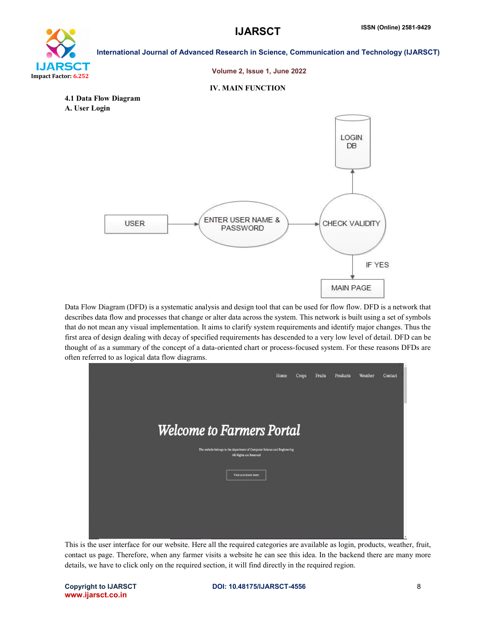# oan Impact Factor: 6.252

International Journal of Advanced Research in Science, Communication and Technology (IJARSCT)

#### Volume 2, Issue 1, June 2022

#### IV. MAIN FUNCTION





Data Flow Diagram (DFD) is a systematic analysis and design tool that can be used for flow flow. DFD is a network that describes data flow and processes that change or alter data across the system. This network is built using a set of symbols that do not mean any visual implementation. It aims to clarify system requirements and identify major changes. Thus the first area of design dealing with decay of specified requirements has descended to a very low level of detail. DFD can be thought of as a summary of the concept of a data-oriented chart or process-focused system. For these reasons DFDs are often referred to as logical data flow diagrams.



This is the user interface for our website. Here all the required categories are available as login, products, weather, fruit, contact us page. Therefore, when any farmer visits a website he can see this idea. In the backend there are many more details, we have to click only on the required section, it will find directly in the required region.

www.ijarsct.co.in